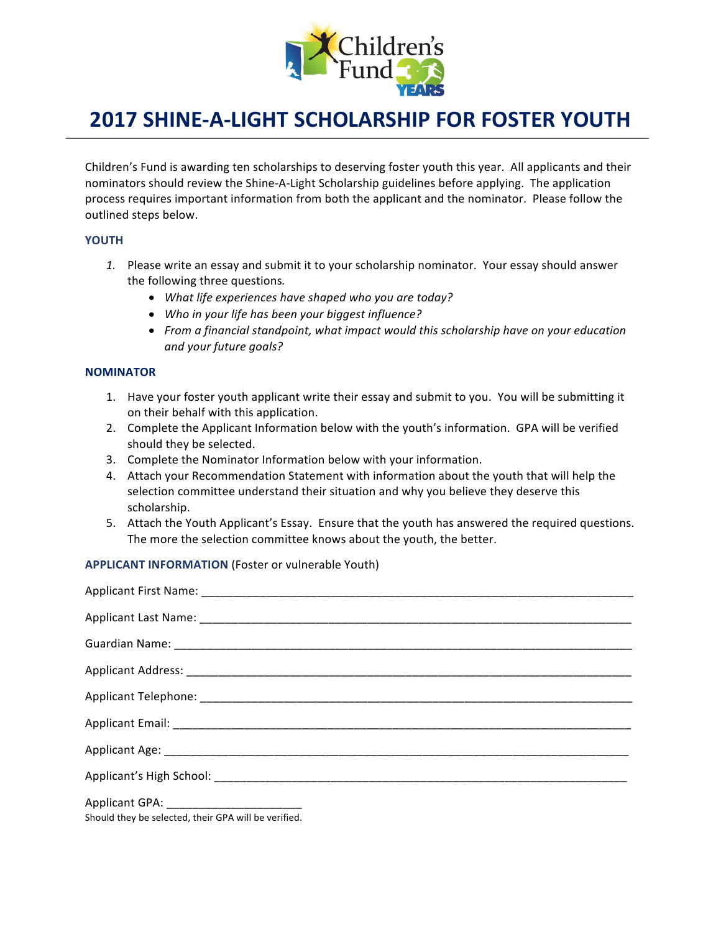

## **2017 SHINE-A-LIGHT SCHOLARSHIP FOR FOSTER YOUTH**

Children's Fund is awarding ten scholarships to deserving foster youth this year. All applicants and their nominators should review the Shine-A-Light Scholarship guidelines before applying. The application process requires important information from both the applicant and the nominator. Please follow the outlined steps below.

## **YOUTH**

- 1. Please write an essay and submit it to your scholarship nominator. Your essay should answer the following three questions.
	- What life experiences have shaped who you are today?
	- Who in your life has been your biggest influence?
	- From a financial standpoint, what impact would this scholarship have on your education *and your future goals?*

## **NOMINATOR**

- 1. Have your foster youth applicant write their essay and submit to you. You will be submitting it on their behalf with this application.
- 2. Complete the Applicant Information below with the youth's information. GPA will be verified should they be selected.
- 3. Complete the Nominator Information below with your information.
- 4. Attach your Recommendation Statement with information about the youth that will help the selection committee understand their situation and why you believe they deserve this scholarship.
- 5. Attach the Youth Applicant's Essay. Ensure that the youth has answered the required questions. The more the selection committee knows about the youth, the better.

**APPLICANT INFORMATION** (Foster or vulnerable Youth)

Should they be selected, their GPA will be verified.